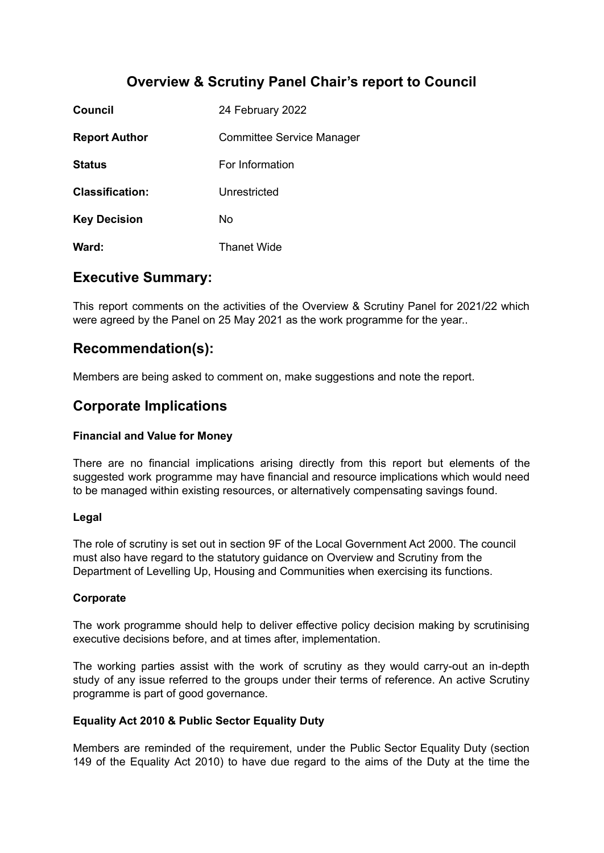# **Overview & Scrutiny Panel Chair's report to Council**

| <b>Council</b>         | 24 February 2022                 |
|------------------------|----------------------------------|
| <b>Report Author</b>   | <b>Committee Service Manager</b> |
| <b>Status</b>          | For Information                  |
| <b>Classification:</b> | Unrestricted                     |
| <b>Key Decision</b>    | No                               |
| Ward:                  | Thanet Wide                      |

## **Executive Summary:**

This report comments on the activities of the Overview & Scrutiny Panel for 2021/22 which were agreed by the Panel on 25 May 2021 as the work programme for the year..

# **Recommendation(s):**

Members are being asked to comment on, make suggestions and note the report.

# **Corporate Implications**

## **Financial and Value for Money**

There are no financial implications arising directly from this report but elements of the suggested work programme may have financial and resource implications which would need to be managed within existing resources, or alternatively compensating savings found.

#### **Legal**

The role of scrutiny is set out in section 9F of the Local Government Act 2000. The council must also have regard to the statutory guidance on Overview and Scrutiny from the Department of Levelling Up, Housing and Communities when exercising its functions.

## **Corporate**

The work programme should help to deliver effective policy decision making by scrutinising executive decisions before, and at times after, implementation.

The working parties assist with the work of scrutiny as they would carry-out an in-depth study of any issue referred to the groups under their terms of reference. An active Scrutiny programme is part of good governance.

## **Equality Act 2010 & Public Sector Equality Duty**

Members are reminded of the requirement, under the Public Sector Equality Duty (section 149 of the Equality Act 2010) to have due regard to the aims of the Duty at the time the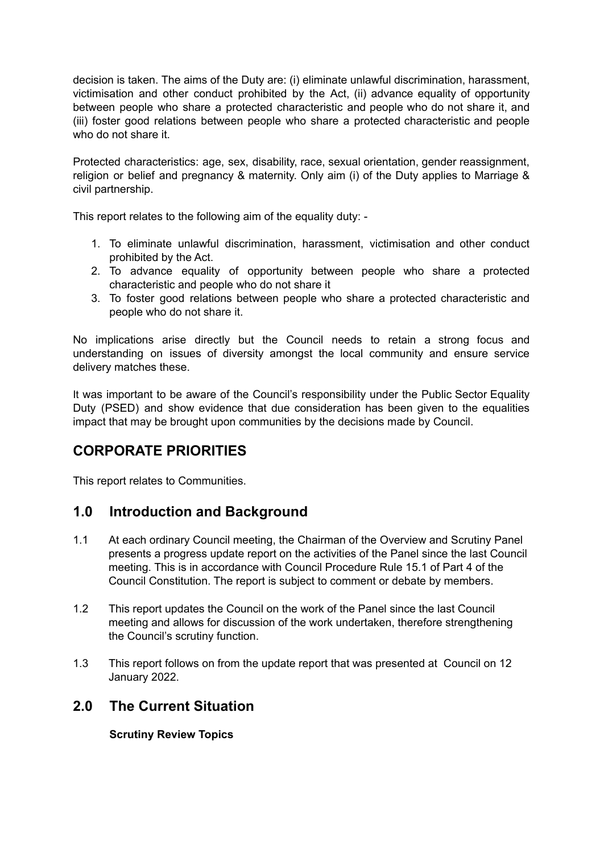decision is taken. The aims of the Duty are: (i) eliminate unlawful discrimination, harassment, victimisation and other conduct prohibited by the Act, (ii) advance equality of opportunity between people who share a protected characteristic and people who do not share it, and (iii) foster good relations between people who share a protected characteristic and people who do not share it.

Protected characteristics: age, sex, disability, race, sexual orientation, gender reassignment, religion or belief and pregnancy & maternity. Only aim (i) of the Duty applies to Marriage & civil partnership.

This report relates to the following aim of the equality duty: -

- 1. To eliminate unlawful discrimination, harassment, victimisation and other conduct prohibited by the Act.
- 2. To advance equality of opportunity between people who share a protected characteristic and people who do not share it
- 3. To foster good relations between people who share a protected characteristic and people who do not share it.

No implications arise directly but the Council needs to retain a strong focus and understanding on issues of diversity amongst the local community and ensure service delivery matches these.

It was important to be aware of the Council's responsibility under the Public Sector Equality Duty (PSED) and show evidence that due consideration has been given to the equalities impact that may be brought upon communities by the decisions made by Council.

# **CORPORATE PRIORITIES**

This report relates to Communities.

# **1.0 Introduction and Background**

- 1.1 At each ordinary Council meeting, the Chairman of the Overview and Scrutiny Panel presents a progress update report on the activities of the Panel since the last Council meeting. This is in accordance with Council Procedure Rule 15.1 of Part 4 of the Council Constitution. The report is subject to comment or debate by members.
- 1.2 This report updates the Council on the work of the Panel since the last Council meeting and allows for discussion of the work undertaken, therefore strengthening the Council's scrutiny function.
- 1.3 This report follows on from the update report that was presented at Council on 12 January 2022.

# **2.0 The Current Situation**

**Scrutiny Review Topics**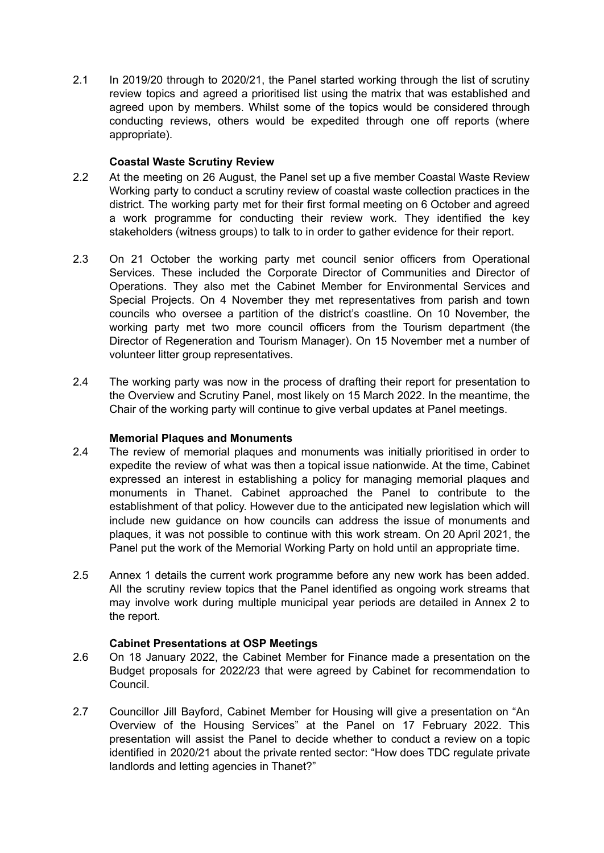2.1 In 2019/20 through to 2020/21, the Panel started working through the list of scrutiny review topics and agreed a prioritised list using the matrix that was established and agreed upon by members. Whilst some of the topics would be considered through conducting reviews, others would be expedited through one off reports (where appropriate).

#### **Coastal Waste Scrutiny Review**

- 2.2 At the meeting on 26 August, the Panel set up a five member Coastal Waste Review Working party to conduct a scrutiny review of coastal waste collection practices in the district. The working party met for their first formal meeting on 6 October and agreed a work programme for conducting their review work. They identified the key stakeholders (witness groups) to talk to in order to gather evidence for their report.
- 2.3 On 21 October the working party met council senior officers from Operational Services. These included the Corporate Director of Communities and Director of Operations. They also met the Cabinet Member for Environmental Services and Special Projects. On 4 November they met representatives from parish and town councils who oversee a partition of the district's coastline. On 10 November, the working party met two more council officers from the Tourism department (the Director of Regeneration and Tourism Manager). On 15 November met a number of volunteer litter group representatives.
- 2.4 The working party was now in the process of drafting their report for presentation to the Overview and Scrutiny Panel, most likely on 15 March 2022. In the meantime, the Chair of the working party will continue to give verbal updates at Panel meetings.

#### **Memorial Plaques and Monuments**

- 2.4 The review of memorial plaques and monuments was initially prioritised in order to expedite the review of what was then a topical issue nationwide. At the time, Cabinet expressed an interest in establishing a policy for managing memorial plaques and monuments in Thanet. Cabinet approached the Panel to contribute to the establishment of that policy. However due to the anticipated new legislation which will include new guidance on how councils can address the issue of monuments and plaques, it was not possible to continue with this work stream. On 20 April 2021, the Panel put the work of the Memorial Working Party on hold until an appropriate time.
- 2.5 Annex 1 details the current work programme before any new work has been added. All the scrutiny review topics that the Panel identified as ongoing work streams that may involve work during multiple municipal year periods are detailed in Annex 2 to the report.

#### **Cabinet Presentations at OSP Meetings**

- 2.6 On 18 January 2022, the Cabinet Member for Finance made a presentation on the Budget proposals for 2022/23 that were agreed by Cabinet for recommendation to Council.
- 2.7 Councillor Jill Bayford, Cabinet Member for Housing will give a presentation on "An Overview of the Housing Services" at the Panel on 17 February 2022. This presentation will assist the Panel to decide whether to conduct a review on a topic identified in 2020/21 about the private rented sector: "How does TDC regulate private landlords and letting agencies in Thanet?"